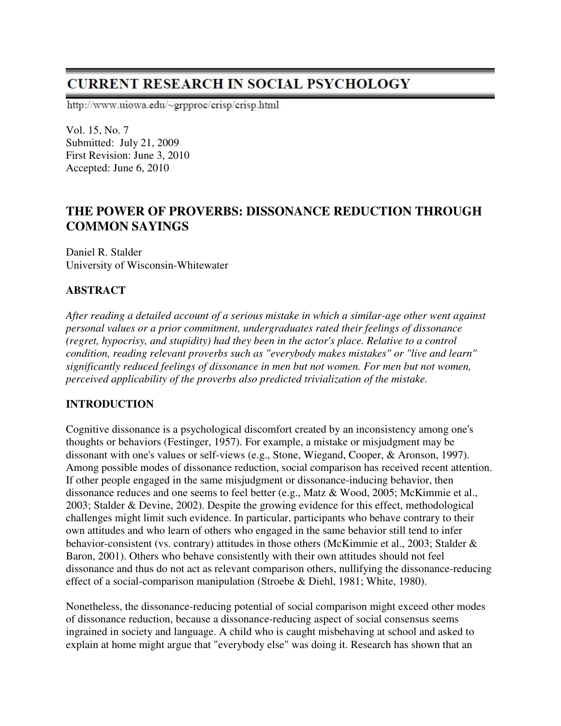# **CURRENT RESEARCH IN SOCIAL PSYCHOLOGY**

http://www.uiowa.edu/~grpproc/crisp/crisp.html

Vol. 15, No. 7 Submitted: July 21, 2009 First Revision: June 3, 2010 Accepted: June 6, 2010

## **THE POWER OF PROVERBS: DISSONANCE REDUCTION THROUGH COMMON SAYINGS**

Daniel R. Stalder University of Wisconsin-Whitewater

## **ABSTRACT**

*After reading a detailed account of a serious mistake in which a similar-age other went against personal values or a prior commitment, undergraduates rated their feelings of dissonance (regret, hypocrisy, and stupidity) had they been in the actor's place. Relative to a control condition, reading relevant proverbs such as "everybody makes mistakes" or "live and learn" significantly reduced feelings of dissonance in men but not women. For men but not women, perceived applicability of the proverbs also predicted trivialization of the mistake.* 

## **INTRODUCTION**

Cognitive dissonance is a psychological discomfort created by an inconsistency among one's thoughts or behaviors (Festinger, 1957). For example, a mistake or misjudgment may be dissonant with one's values or self-views (e.g., Stone, Wiegand, Cooper, & Aronson, 1997). Among possible modes of dissonance reduction, social comparison has received recent attention. If other people engaged in the same misjudgment or dissonance-inducing behavior, then dissonance reduces and one seems to feel better (e.g., Matz & Wood, 2005; McKimmie et al., 2003; Stalder & Devine, 2002). Despite the growing evidence for this effect, methodological challenges might limit such evidence. In particular, participants who behave contrary to their own attitudes and who learn of others who engaged in the same behavior still tend to infer behavior-consistent (vs. contrary) attitudes in those others (McKimmie et al., 2003; Stalder & Baron, 2001). Others who behave consistently with their own attitudes should not feel dissonance and thus do not act as relevant comparison others, nullifying the dissonance-reducing effect of a social-comparison manipulation (Stroebe & Diehl, 1981; White, 1980).

Nonetheless, the dissonance-reducing potential of social comparison might exceed other modes of dissonance reduction, because a dissonance-reducing aspect of social consensus seems ingrained in society and language. A child who is caught misbehaving at school and asked to explain at home might argue that "everybody else" was doing it. Research has shown that an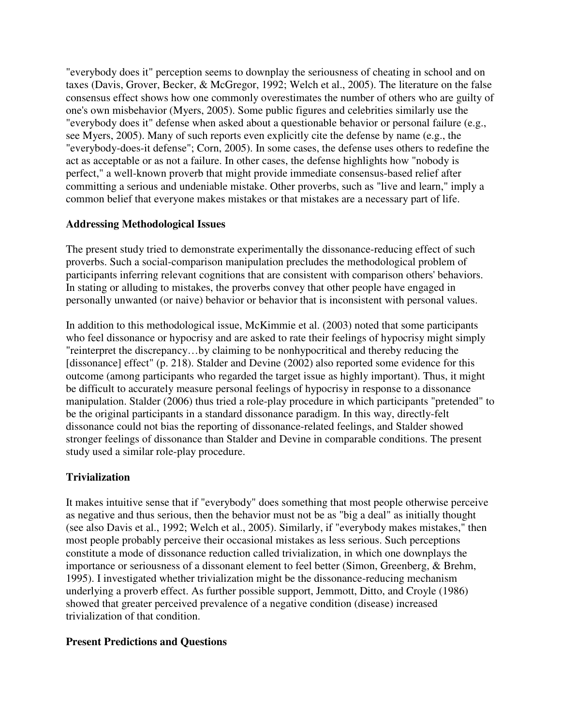"everybody does it" perception seems to downplay the seriousness of cheating in school and on taxes (Davis, Grover, Becker, & McGregor, 1992; Welch et al., 2005). The literature on the false consensus effect shows how one commonly overestimates the number of others who are guilty of one's own misbehavior (Myers, 2005). Some public figures and celebrities similarly use the "everybody does it" defense when asked about a questionable behavior or personal failure (e.g., see Myers, 2005). Many of such reports even explicitly cite the defense by name (e.g., the "everybody-does-it defense"; Corn, 2005). In some cases, the defense uses others to redefine the act as acceptable or as not a failure. In other cases, the defense highlights how "nobody is perfect," a well-known proverb that might provide immediate consensus-based relief after committing a serious and undeniable mistake. Other proverbs, such as "live and learn," imply a common belief that everyone makes mistakes or that mistakes are a necessary part of life.

## **Addressing Methodological Issues**

The present study tried to demonstrate experimentally the dissonance-reducing effect of such proverbs. Such a social-comparison manipulation precludes the methodological problem of participants inferring relevant cognitions that are consistent with comparison others' behaviors. In stating or alluding to mistakes, the proverbs convey that other people have engaged in personally unwanted (or naive) behavior or behavior that is inconsistent with personal values.

In addition to this methodological issue, McKimmie et al. (2003) noted that some participants who feel dissonance or hypocrisy and are asked to rate their feelings of hypocrisy might simply "reinterpret the discrepancy…by claiming to be nonhypocritical and thereby reducing the [dissonance] effect" (p. 218). Stalder and Devine (2002) also reported some evidence for this outcome (among participants who regarded the target issue as highly important). Thus, it might be difficult to accurately measure personal feelings of hypocrisy in response to a dissonance manipulation. Stalder (2006) thus tried a role-play procedure in which participants "pretended" to be the original participants in a standard dissonance paradigm. In this way, directly-felt dissonance could not bias the reporting of dissonance-related feelings, and Stalder showed stronger feelings of dissonance than Stalder and Devine in comparable conditions. The present study used a similar role-play procedure.

## **Trivialization**

It makes intuitive sense that if "everybody" does something that most people otherwise perceive as negative and thus serious, then the behavior must not be as "big a deal" as initially thought (see also Davis et al., 1992; Welch et al., 2005). Similarly, if "everybody makes mistakes," then most people probably perceive their occasional mistakes as less serious. Such perceptions constitute a mode of dissonance reduction called trivialization, in which one downplays the importance or seriousness of a dissonant element to feel better (Simon, Greenberg, & Brehm, 1995). I investigated whether trivialization might be the dissonance-reducing mechanism underlying a proverb effect. As further possible support, Jemmott, Ditto, and Croyle (1986) showed that greater perceived prevalence of a negative condition (disease) increased trivialization of that condition.

#### **Present Predictions and Questions**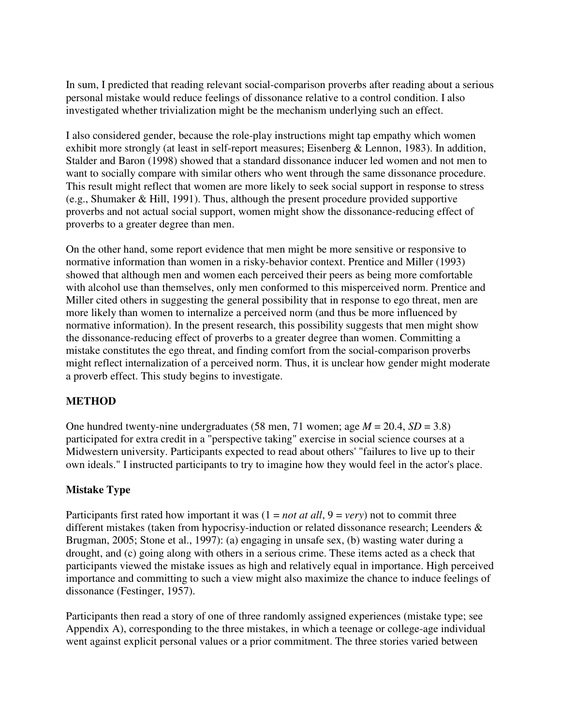In sum, I predicted that reading relevant social-comparison proverbs after reading about a serious personal mistake would reduce feelings of dissonance relative to a control condition. I also investigated whether trivialization might be the mechanism underlying such an effect.

I also considered gender, because the role-play instructions might tap empathy which women exhibit more strongly (at least in self-report measures; Eisenberg & Lennon, 1983). In addition, Stalder and Baron (1998) showed that a standard dissonance inducer led women and not men to want to socially compare with similar others who went through the same dissonance procedure. This result might reflect that women are more likely to seek social support in response to stress (e.g., Shumaker & Hill, 1991). Thus, although the present procedure provided supportive proverbs and not actual social support, women might show the dissonance-reducing effect of proverbs to a greater degree than men.

On the other hand, some report evidence that men might be more sensitive or responsive to normative information than women in a risky-behavior context. Prentice and Miller (1993) showed that although men and women each perceived their peers as being more comfortable with alcohol use than themselves, only men conformed to this misperceived norm. Prentice and Miller cited others in suggesting the general possibility that in response to ego threat, men are more likely than women to internalize a perceived norm (and thus be more influenced by normative information). In the present research, this possibility suggests that men might show the dissonance-reducing effect of proverbs to a greater degree than women. Committing a mistake constitutes the ego threat, and finding comfort from the social-comparison proverbs might reflect internalization of a perceived norm. Thus, it is unclear how gender might moderate a proverb effect. This study begins to investigate.

## **METHOD**

One hundred twenty-nine undergraduates (58 men, 71 women; age *M* = 20.4, *SD* = 3.8) participated for extra credit in a "perspective taking" exercise in social science courses at a Midwestern university. Participants expected to read about others' "failures to live up to their own ideals." I instructed participants to try to imagine how they would feel in the actor's place.

#### **Mistake Type**

Participants first rated how important it was  $(1 = not at all, 9 = very)$  not to commit three different mistakes (taken from hypocrisy-induction or related dissonance research; Leenders & Brugman, 2005; Stone et al., 1997): (a) engaging in unsafe sex, (b) wasting water during a drought, and (c) going along with others in a serious crime. These items acted as a check that participants viewed the mistake issues as high and relatively equal in importance. High perceived importance and committing to such a view might also maximize the chance to induce feelings of dissonance (Festinger, 1957).

Participants then read a story of one of three randomly assigned experiences (mistake type; see Appendix A), corresponding to the three mistakes, in which a teenage or college-age individual went against explicit personal values or a prior commitment. The three stories varied between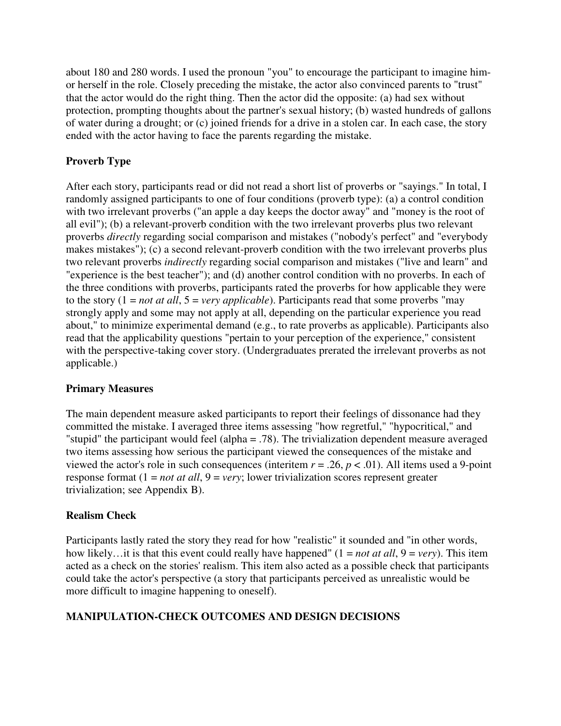about 180 and 280 words. I used the pronoun "you" to encourage the participant to imagine himor herself in the role. Closely preceding the mistake, the actor also convinced parents to "trust" that the actor would do the right thing. Then the actor did the opposite: (a) had sex without protection, prompting thoughts about the partner's sexual history; (b) wasted hundreds of gallons of water during a drought; or (c) joined friends for a drive in a stolen car. In each case, the story ended with the actor having to face the parents regarding the mistake.

## **Proverb Type**

After each story, participants read or did not read a short list of proverbs or "sayings." In total, I randomly assigned participants to one of four conditions (proverb type): (a) a control condition with two irrelevant proverbs ("an apple a day keeps the doctor away" and "money is the root of all evil"); (b) a relevant-proverb condition with the two irrelevant proverbs plus two relevant proverbs *directly* regarding social comparison and mistakes ("nobody's perfect" and "everybody makes mistakes"); (c) a second relevant-proverb condition with the two irrelevant proverbs plus two relevant proverbs *indirectly* regarding social comparison and mistakes ("live and learn" and "experience is the best teacher"); and (d) another control condition with no proverbs. In each of the three conditions with proverbs, participants rated the proverbs for how applicable they were to the story  $(1 = not at all, 5 = very applicable)$ . Participants read that some proverbs "may" strongly apply and some may not apply at all, depending on the particular experience you read about," to minimize experimental demand (e.g., to rate proverbs as applicable). Participants also read that the applicability questions "pertain to your perception of the experience," consistent with the perspective-taking cover story. (Undergraduates prerated the irrelevant proverbs as not applicable.)

## **Primary Measures**

The main dependent measure asked participants to report their feelings of dissonance had they committed the mistake. I averaged three items assessing "how regretful," "hypocritical," and "stupid" the participant would feel (alpha = .78). The trivialization dependent measure averaged two items assessing how serious the participant viewed the consequences of the mistake and viewed the actor's role in such consequences (interitem  $r = .26$ ,  $p < .01$ ). All items used a 9-point response format (1 = *not at all*, 9 = *very*; lower trivialization scores represent greater trivialization; see Appendix B).

#### **Realism Check**

Participants lastly rated the story they read for how "realistic" it sounded and "in other words, how likely…it is that this event could really have happened" (1 = *not at all*, 9 = *very*). This item acted as a check on the stories' realism. This item also acted as a possible check that participants could take the actor's perspective (a story that participants perceived as unrealistic would be more difficult to imagine happening to oneself).

## **MANIPULATION-CHECK OUTCOMES AND DESIGN DECISIONS**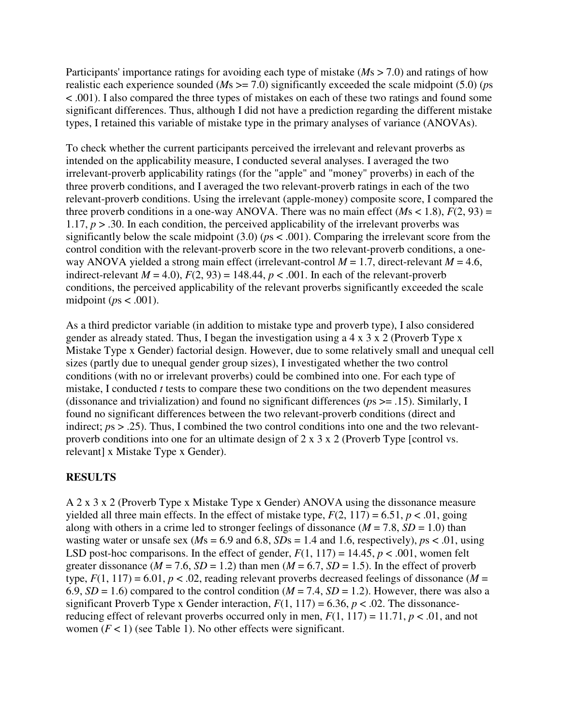Participants' importance ratings for avoiding each type of mistake (*Ms* > 7.0) and ratings of how realistic each experience sounded (*M*s >= 7.0) significantly exceeded the scale midpoint (5.0) (*p*s < .001). I also compared the three types of mistakes on each of these two ratings and found some significant differences. Thus, although I did not have a prediction regarding the different mistake types, I retained this variable of mistake type in the primary analyses of variance (ANOVAs).

To check whether the current participants perceived the irrelevant and relevant proverbs as intended on the applicability measure, I conducted several analyses. I averaged the two irrelevant-proverb applicability ratings (for the "apple" and "money" proverbs) in each of the three proverb conditions, and I averaged the two relevant-proverb ratings in each of the two relevant-proverb conditions. Using the irrelevant (apple-money) composite score, I compared the three proverb conditions in a one-way ANOVA. There was no main effect  $(Ms < 1.8)$ ,  $F(2, 93) =$ 1.17,  $p > 0.30$ . In each condition, the perceived applicability of the irrelevant proverbs was significantly below the scale midpoint  $(3.0)$  ( $ps < .001$ ). Comparing the irrelevant score from the control condition with the relevant-proverb score in the two relevant-proverb conditions, a oneway ANOVA yielded a strong main effect (irrelevant-control  $M = 1.7$ , direct-relevant  $M = 4.6$ , indirect-relevant  $M = 4.0$ ,  $F(2, 93) = 148.44$ ,  $p < .001$ . In each of the relevant-proverb conditions, the perceived applicability of the relevant proverbs significantly exceeded the scale midpoint (*p*s < .001).

As a third predictor variable (in addition to mistake type and proverb type), I also considered gender as already stated. Thus, I began the investigation using a 4 x 3 x 2 (Proverb Type x Mistake Type x Gender) factorial design. However, due to some relatively small and unequal cell sizes (partly due to unequal gender group sizes), I investigated whether the two control conditions (with no or irrelevant proverbs) could be combined into one. For each type of mistake, I conducted *t* tests to compare these two conditions on the two dependent measures (dissonance and trivialization) and found no significant differences (*p*s >= .15). Similarly, I found no significant differences between the two relevant-proverb conditions (direct and indirect;  $ps > .25$ ). Thus, I combined the two control conditions into one and the two relevantproverb conditions into one for an ultimate design of 2 x 3 x 2 (Proverb Type [control vs. relevant] x Mistake Type x Gender).

## **RESULTS**

A 2 x 3 x 2 (Proverb Type x Mistake Type x Gender) ANOVA using the dissonance measure yielded all three main effects. In the effect of mistake type,  $F(2, 117) = 6.51$ ,  $p < .01$ , going along with others in a crime led to stronger feelings of dissonance  $(M = 7.8, SD = 1.0)$  than wasting water or unsafe sex ( $Ms = 6.9$  and  $6.8$ ,  $SDs = 1.4$  and 1.6, respectively),  $ps < .01$ , using LSD post-hoc comparisons. In the effect of gender,  $F(1, 117) = 14.45$ ,  $p < .001$ , women felt greater dissonance ( $M = 7.6$ ,  $SD = 1.2$ ) than men ( $M = 6.7$ ,  $SD = 1.5$ ). In the effect of proverb type,  $F(1, 117) = 6.01$ ,  $p < .02$ , reading relevant proverbs decreased feelings of dissonance (*M* = 6.9,  $SD = 1.6$ ) compared to the control condition ( $M = 7.4$ ,  $SD = 1.2$ ). However, there was also a significant Proverb Type x Gender interaction,  $F(1, 117) = 6.36$ ,  $p < .02$ . The dissonancereducing effect of relevant proverbs occurred only in men,  $F(1, 117) = 11.71$ ,  $p < .01$ , and not women  $(F < 1)$  (see Table 1). No other effects were significant.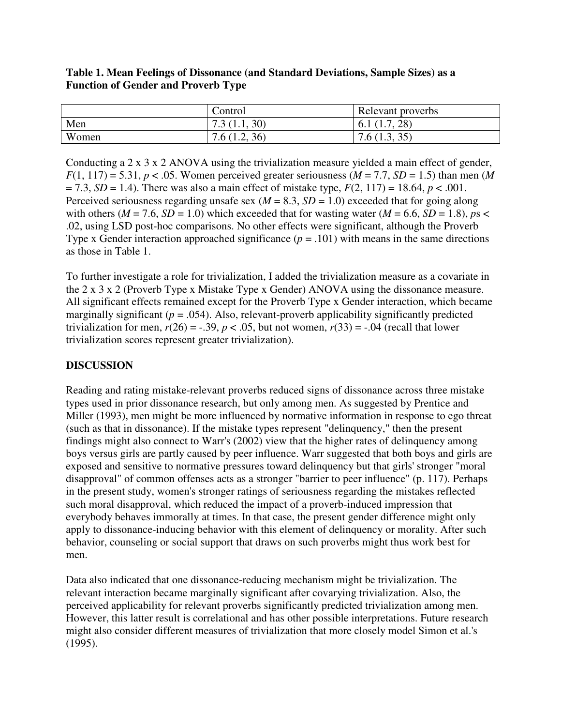| Table 1. Mean Feelings of Dissonance (and Standard Deviations, Sample Sizes) as a |  |
|-----------------------------------------------------------------------------------|--|
| <b>Function of Gender and Proverb Type</b>                                        |  |

|       | Control                 | Relevant proverbs |
|-------|-------------------------|-------------------|
| Men   | 7.3(1.1, 30)            | (1.7, 28)<br>0.1  |
| Women | (1.2, 36)<br>7.6(1.2, ) | 7.6(1.3, 35)      |

Conducting a 2 x 3 x 2 ANOVA using the trivialization measure yielded a main effect of gender,  $F(1, 117) = 5.31$ ,  $p < .05$ . Women perceived greater seriousness ( $M = 7.7$ ,  $SD = 1.5$ ) than men (M)  $= 7.3, SD = 1.4$ ). There was also a main effect of mistake type,  $F(2, 117) = 18.64, p < .001$ . Perceived seriousness regarding unsafe sex ( $M = 8.3$ ,  $SD = 1.0$ ) exceeded that for going along with others ( $M = 7.6$ ,  $SD = 1.0$ ) which exceeded that for wasting water ( $M = 6.6$ ,  $SD = 1.8$ ),  $ps <$ .02, using LSD post-hoc comparisons. No other effects were significant, although the Proverb Type x Gender interaction approached significance  $(p = .101)$  with means in the same directions as those in Table 1.

To further investigate a role for trivialization, I added the trivialization measure as a covariate in the 2 x 3 x 2 (Proverb Type x Mistake Type x Gender) ANOVA using the dissonance measure. All significant effects remained except for the Proverb Type x Gender interaction, which became marginally significant  $(p = .054)$ . Also, relevant-proverb applicability significantly predicted trivialization for men,  $r(26) = -.39$ ,  $p < .05$ , but not women,  $r(33) = .04$  (recall that lower trivialization scores represent greater trivialization).

#### **DISCUSSION**

Reading and rating mistake-relevant proverbs reduced signs of dissonance across three mistake types used in prior dissonance research, but only among men. As suggested by Prentice and Miller (1993), men might be more influenced by normative information in response to ego threat (such as that in dissonance). If the mistake types represent "delinquency," then the present findings might also connect to Warr's (2002) view that the higher rates of delinquency among boys versus girls are partly caused by peer influence. Warr suggested that both boys and girls are exposed and sensitive to normative pressures toward delinquency but that girls' stronger "moral disapproval" of common offenses acts as a stronger "barrier to peer influence" (p. 117). Perhaps in the present study, women's stronger ratings of seriousness regarding the mistakes reflected such moral disapproval, which reduced the impact of a proverb-induced impression that everybody behaves immorally at times. In that case, the present gender difference might only apply to dissonance-inducing behavior with this element of delinquency or morality. After such behavior, counseling or social support that draws on such proverbs might thus work best for men.

Data also indicated that one dissonance-reducing mechanism might be trivialization. The relevant interaction became marginally significant after covarying trivialization. Also, the perceived applicability for relevant proverbs significantly predicted trivialization among men. However, this latter result is correlational and has other possible interpretations. Future research might also consider different measures of trivialization that more closely model Simon et al.'s (1995).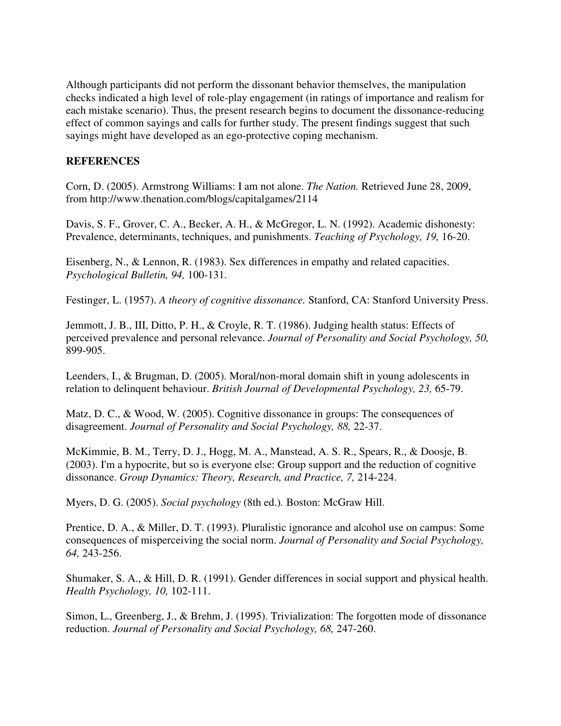Although participants did not perform the dissonant behavior themselves, the manipulation checks indicated a high level of role-play engagement (in ratings of importance and realism for each mistake scenario). Thus, the present research begins to document the dissonance-reducing effect of common sayings and calls for further study. The present findings suggest that such sayings might have developed as an ego-protective coping mechanism.

#### **REFERENCES**

Corn, D. (2005). Armstrong Williams: I am not alone. *The Nation.* Retrieved June 28, 2009, from http://www.thenation.com/blogs/capitalgames/2114

Davis, S. F., Grover, C. A., Becker, A. H., & McGregor, L. N. (1992). Academic dishonesty: Prevalence, determinants, techniques, and punishments. *Teaching of Psychology, 19,* 16-20.

Eisenberg, N., & Lennon, R. (1983). Sex differences in empathy and related capacities. *Psychological Bulletin, 94,* 100-131.

Festinger, L. (1957). *A theory of cognitive dissonance.* Stanford, CA: Stanford University Press.

Jemmott, J. B., III, Ditto, P. H., & Croyle, R. T. (1986). Judging health status: Effects of perceived prevalence and personal relevance. *Journal of Personality and Social Psychology, 50,* 899-905.

Leenders, I., & Brugman, D. (2005). Moral/non-moral domain shift in young adolescents in relation to delinquent behaviour. *British Journal of Developmental Psychology, 23,* 65-79.

Matz, D. C., & Wood, W. (2005). Cognitive dissonance in groups: The consequences of disagreement. *Journal of Personality and Social Psychology, 88,* 22-37.

McKimmie, B. M., Terry, D. J., Hogg, M. A., Manstead, A. S. R., Spears, R., & Doosje, B. (2003). I'm a hypocrite, but so is everyone else: Group support and the reduction of cognitive dissonance. *Group Dynamics: Theory, Research, and Practice, 7,* 214-224.

Myers, D. G. (2005). *Social psychology* (8th ed.)*.* Boston: McGraw Hill.

Prentice, D. A., & Miller, D. T. (1993). Pluralistic ignorance and alcohol use on campus: Some consequences of misperceiving the social norm. *Journal of Personality and Social Psychology, 64,* 243-256.

Shumaker, S. A., & Hill, D. R. (1991). Gender differences in social support and physical health. *Health Psychology, 10,* 102-111.

Simon, L., Greenberg, J., & Brehm, J. (1995). Trivialization: The forgotten mode of dissonance reduction. *Journal of Personality and Social Psychology, 68,* 247-260.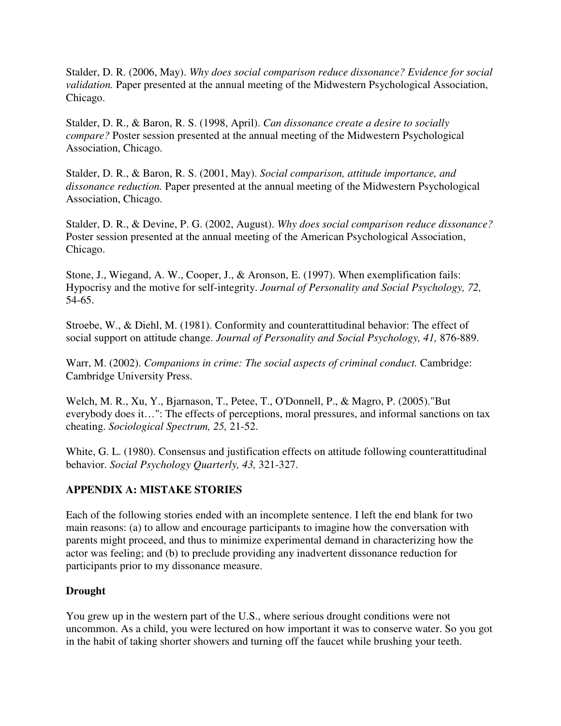Stalder, D. R. (2006, May). *Why does social comparison reduce dissonance? Evidence for social validation.* Paper presented at the annual meeting of the Midwestern Psychological Association, Chicago.

Stalder, D. R., & Baron, R. S. (1998, April). *Can dissonance create a desire to socially compare?* Poster session presented at the annual meeting of the Midwestern Psychological Association, Chicago.

Stalder, D. R., & Baron, R. S. (2001, May). *Social comparison, attitude importance, and dissonance reduction.* Paper presented at the annual meeting of the Midwestern Psychological Association, Chicago.

Stalder, D. R., & Devine, P. G. (2002, August). *Why does social comparison reduce dissonance?* Poster session presented at the annual meeting of the American Psychological Association, Chicago.

Stone, J., Wiegand, A. W., Cooper, J., & Aronson, E. (1997). When exemplification fails: Hypocrisy and the motive for self-integrity. *Journal of Personality and Social Psychology, 72,* 54-65.

Stroebe, W., & Diehl, M. (1981). Conformity and counterattitudinal behavior: The effect of social support on attitude change. *Journal of Personality and Social Psychology, 41,* 876-889.

Warr, M. (2002). *Companions in crime: The social aspects of criminal conduct.* Cambridge: Cambridge University Press.

Welch, M. R., Xu, Y., Bjarnason, T., Petee, T., O'Donnell, P., & Magro, P. (2005)."But everybody does it…": The effects of perceptions, moral pressures, and informal sanctions on tax cheating. *Sociological Spectrum, 25,* 21-52.

White, G. L. (1980). Consensus and justification effects on attitude following counterattitudinal behavior. *Social Psychology Quarterly, 43,* 321-327.

## **APPENDIX A: MISTAKE STORIES**

Each of the following stories ended with an incomplete sentence. I left the end blank for two main reasons: (a) to allow and encourage participants to imagine how the conversation with parents might proceed, and thus to minimize experimental demand in characterizing how the actor was feeling; and (b) to preclude providing any inadvertent dissonance reduction for participants prior to my dissonance measure.

## **Drought**

You grew up in the western part of the U.S., where serious drought conditions were not uncommon. As a child, you were lectured on how important it was to conserve water. So you got in the habit of taking shorter showers and turning off the faucet while brushing your teeth.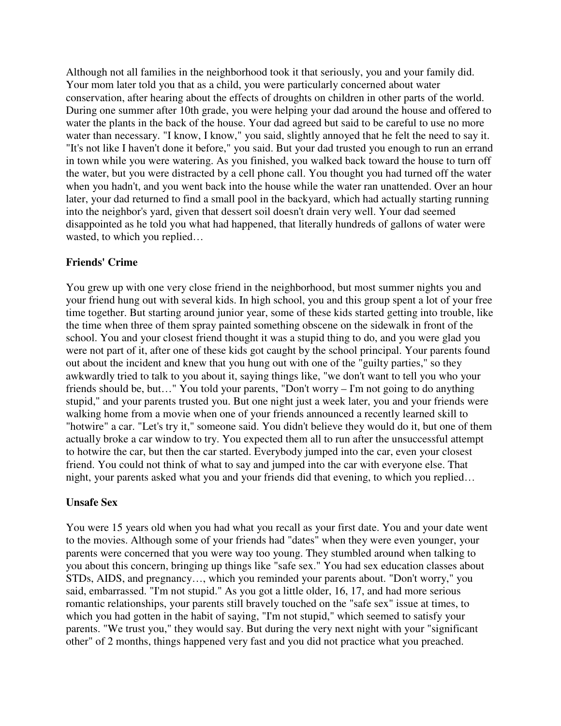Although not all families in the neighborhood took it that seriously, you and your family did. Your mom later told you that as a child, you were particularly concerned about water conservation, after hearing about the effects of droughts on children in other parts of the world. During one summer after 10th grade, you were helping your dad around the house and offered to water the plants in the back of the house. Your dad agreed but said to be careful to use no more water than necessary. "I know, I know," you said, slightly annoyed that he felt the need to say it. "It's not like I haven't done it before," you said. But your dad trusted you enough to run an errand in town while you were watering. As you finished, you walked back toward the house to turn off the water, but you were distracted by a cell phone call. You thought you had turned off the water when you hadn't, and you went back into the house while the water ran unattended. Over an hour later, your dad returned to find a small pool in the backyard, which had actually starting running into the neighbor's yard, given that dessert soil doesn't drain very well. Your dad seemed disappointed as he told you what had happened, that literally hundreds of gallons of water were wasted, to which you replied…

## **Friends' Crime**

You grew up with one very close friend in the neighborhood, but most summer nights you and your friend hung out with several kids. In high school, you and this group spent a lot of your free time together. But starting around junior year, some of these kids started getting into trouble, like the time when three of them spray painted something obscene on the sidewalk in front of the school. You and your closest friend thought it was a stupid thing to do, and you were glad you were not part of it, after one of these kids got caught by the school principal. Your parents found out about the incident and knew that you hung out with one of the "guilty parties," so they awkwardly tried to talk to you about it, saying things like, "we don't want to tell you who your friends should be, but…" You told your parents, "Don't worry – I'm not going to do anything stupid," and your parents trusted you. But one night just a week later, you and your friends were walking home from a movie when one of your friends announced a recently learned skill to "hotwire" a car. "Let's try it," someone said. You didn't believe they would do it, but one of them actually broke a car window to try. You expected them all to run after the unsuccessful attempt to hotwire the car, but then the car started. Everybody jumped into the car, even your closest friend. You could not think of what to say and jumped into the car with everyone else. That night, your parents asked what you and your friends did that evening, to which you replied…

#### **Unsafe Sex**

You were 15 years old when you had what you recall as your first date. You and your date went to the movies. Although some of your friends had "dates" when they were even younger, your parents were concerned that you were way too young. They stumbled around when talking to you about this concern, bringing up things like "safe sex." You had sex education classes about STDs, AIDS, and pregnancy…, which you reminded your parents about. "Don't worry," you said, embarrassed. "I'm not stupid." As you got a little older, 16, 17, and had more serious romantic relationships, your parents still bravely touched on the "safe sex" issue at times, to which you had gotten in the habit of saying, "I'm not stupid," which seemed to satisfy your parents. "We trust you," they would say. But during the very next night with your "significant other" of 2 months, things happened very fast and you did not practice what you preached.